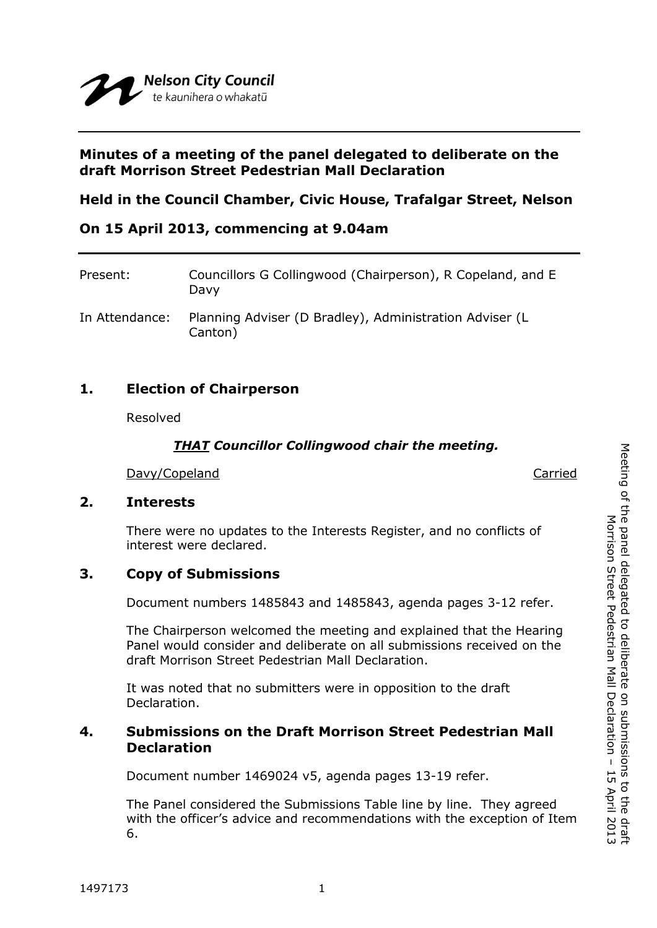## **Minutes of a meeting of the panel delegated to deliberate on the draft Morrison Street Pedestrian Mall Declaration**

# **Held in the Council Chamber, Civic House, Trafalgar Street, Nelson**

## **On 15 April 2013, commencing at 9.04am**

| Present:       | Councillors G Collingwood (Chairperson), R Copeland, and E<br>Davy |
|----------------|--------------------------------------------------------------------|
| In Attendance: | Planning Adviser (D Bradley), Administration Adviser (L<br>Canton) |

## **1. Election of Chairperson**

Resolved

### *THAT Councillor Collingwood chair the meeting.*

Davy/Copeland Carried Carried Carried Carried Carried Carried Carried Carried Carried Carried Carried Carried Carried Carried Carried Carried Carried Carried Carried Carried Carried Carried Carried Carried Carried Carried

*COMMITTEE*

## **2. Interests**

There were no updates to the Interests Register, and no conflicts of interest were declared.

# **3. Copy of Submissions**

Document numbers 1485843 and 1485843, agenda pages 3-12 refer.

The Chairperson welcomed the meeting and explained that the Hearing Panel would consider and deliberate on all submissions received on the draft Morrison Street Pedestrian Mall Declaration.

It was noted that no submitters were in opposition to the draft Declaration.

## **4. Submissions on the Draft Morrison Street Pedestrian Mall Declaration**

Document number 1469024 v5, agenda pages 13-19 refer.

The Panel considered the Submissions Table line by line. They agreed with the officer's advice and recommendations with the exception of Item 6.